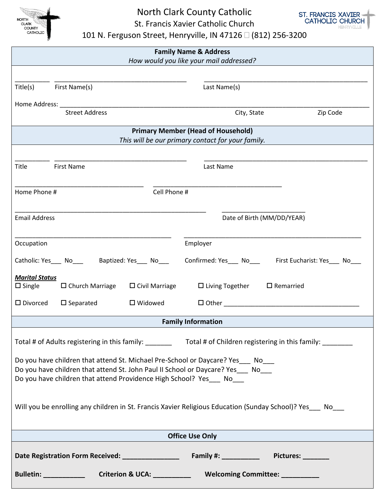

North Clark County Catholic St. Francis Xavier Catholic Church



101 N. Ferguson Street, Henryville, IN 47126  $\Box$  (812) 256-3200

| <b>Family Name &amp; Address</b><br>How would you like your mail addressed?                                                                                             |                                               |  |  |  |  |
|-------------------------------------------------------------------------------------------------------------------------------------------------------------------------|-----------------------------------------------|--|--|--|--|
|                                                                                                                                                                         |                                               |  |  |  |  |
| First Name(s)<br>Title(s)                                                                                                                                               | Last Name(s)                                  |  |  |  |  |
|                                                                                                                                                                         |                                               |  |  |  |  |
| <b>Street Address</b>                                                                                                                                                   | Zip Code<br>City, State                       |  |  |  |  |
| <b>Primary Member (Head of Household)</b>                                                                                                                               |                                               |  |  |  |  |
| This will be our primary contact for your family.                                                                                                                       |                                               |  |  |  |  |
|                                                                                                                                                                         |                                               |  |  |  |  |
| <b>First Name</b><br>Title                                                                                                                                              | Last Name                                     |  |  |  |  |
| Cell Phone #<br>Home Phone #                                                                                                                                            |                                               |  |  |  |  |
|                                                                                                                                                                         |                                               |  |  |  |  |
| <b>Email Address</b>                                                                                                                                                    | Date of Birth (MM/DD/YEAR)                    |  |  |  |  |
|                                                                                                                                                                         |                                               |  |  |  |  |
| Occupation                                                                                                                                                              | Employer                                      |  |  |  |  |
| Catholic: Yes_____ No__________ Baptized: Yes_____ No____                                                                                                               | Confirmed: Yes No First Eucharist: Yes No     |  |  |  |  |
| <b>Marital Status</b>                                                                                                                                                   |                                               |  |  |  |  |
| $\square$ Single<br>$\Box$ Church Marriage<br>$\square$ Civil Marriage                                                                                                  | $\Box$ Living Together<br>$\square$ Remarried |  |  |  |  |
| $\square$ Divorced<br>$\square$ Separated<br>$\square$ Widowed                                                                                                          | $\Box$ Other $\Box$                           |  |  |  |  |
| <b>Family Information</b>                                                                                                                                               |                                               |  |  |  |  |
| Total # of Adults registering in this family: __________ Total # of Children registering in this family: _______                                                        |                                               |  |  |  |  |
|                                                                                                                                                                         |                                               |  |  |  |  |
| Do you have children that attend St. Michael Pre-School or Daycare? Yes __ No___<br>Do you have children that attend St. John Paul II School or Daycare? Yes ____ No___ |                                               |  |  |  |  |
| Do you have children that attend Providence High School? Yes No                                                                                                         |                                               |  |  |  |  |
|                                                                                                                                                                         |                                               |  |  |  |  |
| Will you be enrolling any children in St. Francis Xavier Religious Education (Sunday School)? Yes ___ No___                                                             |                                               |  |  |  |  |
|                                                                                                                                                                         |                                               |  |  |  |  |
| <b>Office Use Only</b>                                                                                                                                                  |                                               |  |  |  |  |
|                                                                                                                                                                         |                                               |  |  |  |  |
|                                                                                                                                                                         |                                               |  |  |  |  |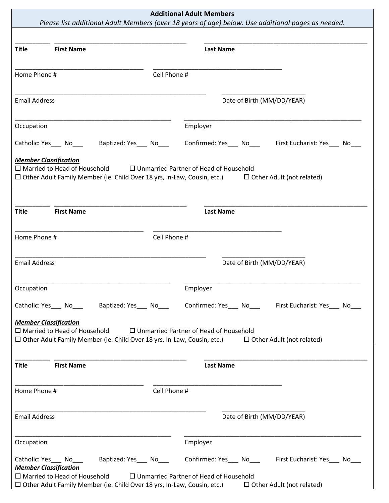| <b>Title</b><br><b>First Name</b><br><b>Last Name</b><br>Home Phone #<br>Cell Phone #<br><b>Email Address</b><br>Date of Birth (MM/DD/YEAR)<br>Employer<br>Occupation<br>Baptized: Yes No<br>Confirmed: Yes____ No____ First Eucharist: Yes___ No_<br>Catholic: Yes______ No_____<br><b>Member Classification</b><br>$\Box$ Married to Head of Household<br>$\Box$ Unmarried Partner of Head of Household<br>$\Box$ Other Adult Family Member (ie. Child Over 18 yrs, In-Law, Cousin, etc.) $\Box$ Other Adult (not related)<br><b>Title</b><br><b>First Name</b><br><b>Last Name</b> |  |
|---------------------------------------------------------------------------------------------------------------------------------------------------------------------------------------------------------------------------------------------------------------------------------------------------------------------------------------------------------------------------------------------------------------------------------------------------------------------------------------------------------------------------------------------------------------------------------------|--|
|                                                                                                                                                                                                                                                                                                                                                                                                                                                                                                                                                                                       |  |
|                                                                                                                                                                                                                                                                                                                                                                                                                                                                                                                                                                                       |  |
|                                                                                                                                                                                                                                                                                                                                                                                                                                                                                                                                                                                       |  |
|                                                                                                                                                                                                                                                                                                                                                                                                                                                                                                                                                                                       |  |
|                                                                                                                                                                                                                                                                                                                                                                                                                                                                                                                                                                                       |  |
|                                                                                                                                                                                                                                                                                                                                                                                                                                                                                                                                                                                       |  |
|                                                                                                                                                                                                                                                                                                                                                                                                                                                                                                                                                                                       |  |
| Home Phone #<br>Cell Phone #                                                                                                                                                                                                                                                                                                                                                                                                                                                                                                                                                          |  |
| <b>Email Address</b><br>Date of Birth (MM/DD/YEAR)                                                                                                                                                                                                                                                                                                                                                                                                                                                                                                                                    |  |
| Occupation<br>Employer                                                                                                                                                                                                                                                                                                                                                                                                                                                                                                                                                                |  |
| Catholic: Yes____ No__________ Baptized: Yes____ No________ Confirmed: Yes____ No_____ First Eucharist: Yes____ No___                                                                                                                                                                                                                                                                                                                                                                                                                                                                 |  |
| <b>Member Classification</b><br>$\Box$ Married to Head of Household<br>$\Box$ Unmarried Partner of Head of Household<br>$\Box$ Other Adult Family Member (ie. Child Over 18 yrs, In-Law, Cousin, etc.) $\Box$ Other Adult (not related)                                                                                                                                                                                                                                                                                                                                               |  |
| <b>First Name</b><br><b>Title</b><br><b>Last Name</b>                                                                                                                                                                                                                                                                                                                                                                                                                                                                                                                                 |  |
| Cell Phone #<br>Home Phone #                                                                                                                                                                                                                                                                                                                                                                                                                                                                                                                                                          |  |
| <b>Email Address</b><br>Date of Birth (MM/DD/YEAR)                                                                                                                                                                                                                                                                                                                                                                                                                                                                                                                                    |  |
| Occupation<br>Employer                                                                                                                                                                                                                                                                                                                                                                                                                                                                                                                                                                |  |
| Baptized: Yes_____ No___________ Confirmed: Yes_____ No____________________ First Eucharist: Yes_____ No___<br>Catholic: Yes No<br><b>Member Classification</b>                                                                                                                                                                                                                                                                                                                                                                                                                       |  |